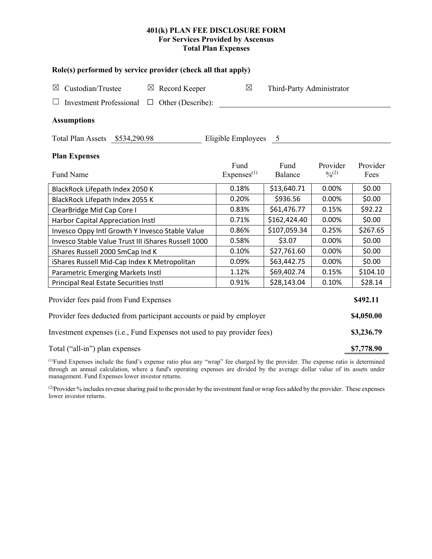# **401(k) PLAN FEE DISCLOSURE FORM For Services Provided by Ascensus Total Plan Expenses**

| Role(s) performed by service provider (check all that apply)            |                                |                           |                         |                  |  |  |
|-------------------------------------------------------------------------|--------------------------------|---------------------------|-------------------------|------------------|--|--|
| Custodian/Trustee<br>$\boxtimes$ Record Keeper<br>$\boxtimes$           | $\boxtimes$                    | Third-Party Administrator |                         |                  |  |  |
| <b>Investment Professional</b><br>$\Box$ Other (Describe):              |                                |                           |                         |                  |  |  |
| <b>Assumptions</b>                                                      |                                |                           |                         |                  |  |  |
| Total Plan Assets \$534,290.98                                          | Eligible Employees 5           |                           |                         |                  |  |  |
| <b>Plan Expenses</b>                                                    |                                |                           |                         |                  |  |  |
| Fund Name                                                               | Fund<br>Express <sup>(1)</sup> | Fund<br>Balance           | Provider<br>$0/0^{(2)}$ | Provider<br>Fees |  |  |
| BlackRock Lifepath Index 2050 K                                         | 0.18%                          | \$13,640.71               | 0.00%                   | \$0.00           |  |  |
| BlackRock Lifepath Index 2055 K                                         | 0.20%                          | \$936.56                  | 0.00%                   | \$0.00           |  |  |
| ClearBridge Mid Cap Core I                                              | 0.83%                          | \$61,476.77               | 0.15%                   | \$92.22          |  |  |
| Harbor Capital Appreciation Instl                                       | 0.71%                          | \$162,424.40              | 0.00%                   | \$0.00           |  |  |
| Invesco Oppy Intl Growth Y Invesco Stable Value                         | 0.86%                          | \$107,059.34              | 0.25%                   | \$267.65         |  |  |
| Invesco Stable Value Trust III iShares Russell 1000                     | 0.58%                          | \$3.07                    | 0.00%                   | \$0.00           |  |  |
| iShares Russell 2000 SmCap Ind K                                        | 0.10%                          | \$27,761.60               | 0.00%                   | \$0.00           |  |  |
| iShares Russell Mid-Cap Index K Metropolitan                            | 0.09%                          | \$63,442.75               | 0.00%                   | \$0.00           |  |  |
| Parametric Emerging Markets Instl                                       | 1.12%                          | \$69,402.74               | 0.15%                   | \$104.10         |  |  |
| Principal Real Estate Securities Instl                                  | 0.91%                          | \$28,143.04               | 0.10%                   | \$28.14          |  |  |
| Provider fees paid from Fund Expenses                                   |                                |                           |                         | \$492.11         |  |  |
| Provider fees deducted from participant accounts or paid by employer    |                                |                           |                         |                  |  |  |
| Investment expenses (i.e., Fund Expenses not used to pay provider fees) |                                |                           |                         |                  |  |  |
| Total ("all-in") plan expenses                                          |                                |                           |                         |                  |  |  |

(1) Fund Expenses include the fund's expense ratio plus any "wrap" fee charged by the provider. The expense ratio is determined through an annual calculation, where a fund's operating expenses are divided by the average dollar value of its assets under management. Fund Expenses lower investor returns.

(2) Provider % includes revenue sharing paid to the provider by the investment fund or wrap fees added by the provider. These expenses lower investor returns.